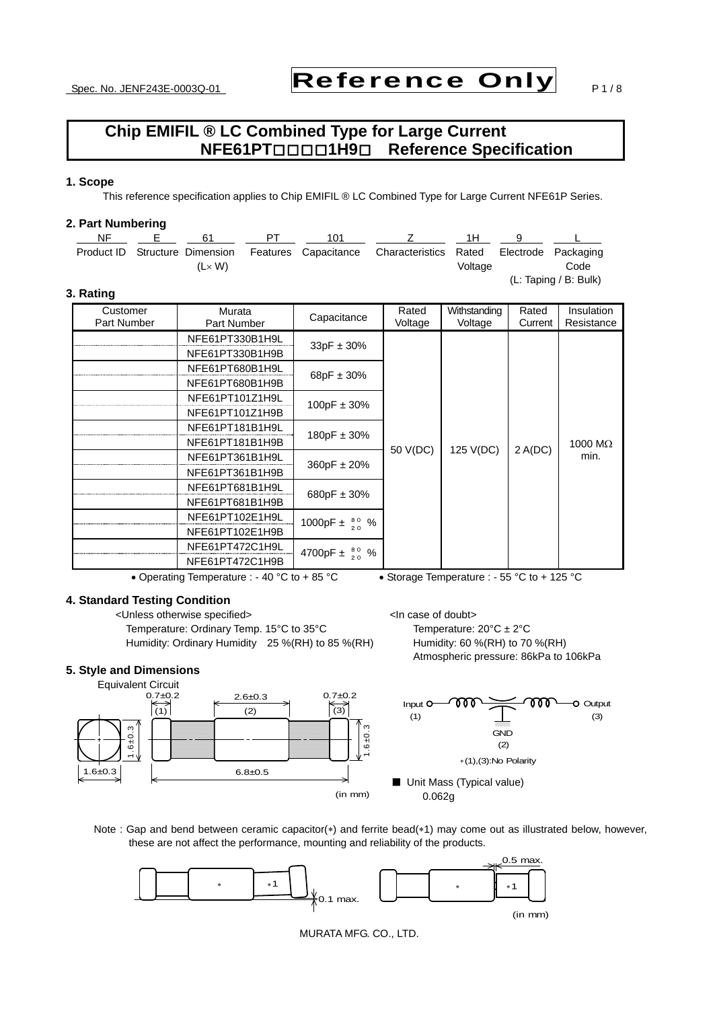# Spec. No. JENF243E-0003Q-01 Reference Only  $P_1/8$

### **Chip EMIFIL ® LC Combined Type for Large Current NFE61PT**□□□□**1H9**□ **Reference Specification**

#### **1. Scope**

This reference specification applies to Chip EMIFIL ® LC Combined Type for Large Current NFE61P Series.

#### **2. Part Numbering**

| NF | 61                             | 101 |                                                                |         |                       |
|----|--------------------------------|-----|----------------------------------------------------------------|---------|-----------------------|
|    | Product ID Structure Dimension |     | Features Capacitance Characteristics Rated Electrode Packaging |         |                       |
|    | $(L \times W)$                 |     |                                                                | Voltage | Code                  |
|    |                                |     |                                                                |         | (L: Taping / B: Bulk) |

### **3. Rating**

| Customer<br>Part Number | Murata<br>Part Number | Capacitance                       | Rated<br>Voltage | Withstanding<br>Voltage | Rated<br>Current | Insulation<br>Resistance |
|-------------------------|-----------------------|-----------------------------------|------------------|-------------------------|------------------|--------------------------|
|                         | NFE61PT330B1H9L       |                                   |                  |                         |                  |                          |
|                         | NFE61PT330B1H9B       | $33pF \pm 30%$                    |                  |                         |                  |                          |
|                         | NFE61PT680B1H9L       |                                   |                  |                         |                  |                          |
|                         | NFE61PT680B1H9B       | 68pF $\pm$ 30%                    |                  |                         | 2 A(DC)          | 1000 $M\Omega$<br>min.   |
|                         | NFE61PT101Z1H9L       | 100pF $\pm$ 30%                   | 50 V(DC)         | 125 V(DC)               |                  |                          |
|                         | NFE61PT101Z1H9B       |                                   |                  |                         |                  |                          |
|                         | NFE61PT181B1H9L       | 180pF $\pm$ 30%                   |                  |                         |                  |                          |
|                         | NFE61PT181B1H9B       |                                   |                  |                         |                  |                          |
|                         | NFE61PT361B1H9L       | $360pF \pm 20%$                   |                  |                         |                  |                          |
|                         | NFE61PT361B1H9B       |                                   |                  |                         |                  |                          |
|                         | NFE61PT681B1H9L       | 680pF $\pm$ 30%                   |                  |                         |                  |                          |
|                         | NFE61PT681B1H9B       |                                   |                  |                         |                  |                          |
|                         | NFE61PT102E1H9L       | 1000pF ± $\frac{80}{20}$ %        |                  |                         |                  |                          |
|                         | NFE61PT102E1H9B       |                                   |                  |                         |                  |                          |
|                         | NFE61PT472C1H9L       | $\frac{80}{20}$ %<br>4700pF $\pm$ |                  |                         |                  |                          |
|                         | NFE61PT472C1H9B       |                                   |                  |                         |                  |                          |

• Operating Temperature : - 40 °C to + 85 °C • Storage Temperature : - 55 °C to + 125 °C

#### **4. Standard Testing Condition**

<Unless otherwise specified> <In case of doubt> Temperature: Ordinary Temp. 15°C to 35°C Temperature:  $20^{\circ}C \pm 2^{\circ}C$ 

#### **5. Style and Dimensions**

Humidity: Ordinary Humidity 25 %(RH) to 85 %(RH) Humidity: 60 %(RH) to 70 %(RH) Atmospheric pressure: 86kPa to 106kPa



Note : Gap and bend between ceramic capacitor(\*) and ferrite bead(\*1) may come out as illustrated below, however, these are not affect the performance, mounting and reliability of the products.



MURATA MFG. CO., LTD.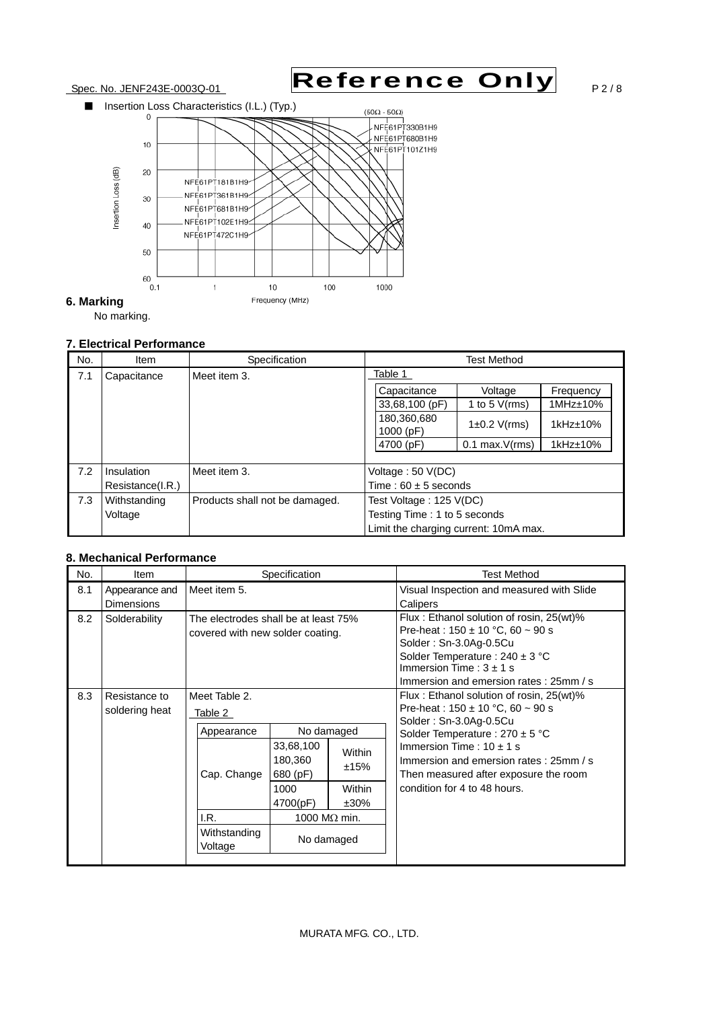

#### **7. Electrical Performance**

| No. | <b>Item</b>      | Specification                  |                                       | <b>Test Method</b>  |                   |
|-----|------------------|--------------------------------|---------------------------------------|---------------------|-------------------|
| 7.1 | Capacitance      | Meet item 3.                   | Table 1                               |                     |                   |
|     |                  |                                | Capacitance                           | Voltage             | Frequency         |
|     |                  |                                | 33,68,100 (pF)                        | 1 to 5 $V(rms)$     | $1MHz \pm 10%$    |
|     |                  |                                | 180,360,680<br>1000 (pF)              | $1\pm0.2$ V(rms)    | $1$ kHz $\pm$ 10% |
|     |                  |                                | 4700 (pF)                             | $0.1$ max. $V(rms)$ | $1$ kHz $\pm$ 10% |
|     |                  |                                |                                       |                     |                   |
| 7.2 | Insulation       | Meet item 3.                   | Voltage: 50 V(DC)                     |                     |                   |
|     | Resistance(I.R.) |                                | Time: $60 \pm 5$ seconds              |                     |                   |
| 7.3 | Withstanding     | Products shall not be damaged. | Test Voltage: 125 V(DC)               |                     |                   |
|     | Voltage          |                                | Testing Time: 1 to 5 seconds          |                     |                   |
|     |                  |                                | Limit the charging current: 10mA max. |                     |                   |

#### **8. Mechanical Performance**

| No.<br><b>Item</b>                         | Specification                                                                 |                                                                                                          |                                     | <b>Test Method</b>                                                                                                                                                                                                                                                                                   |
|--------------------------------------------|-------------------------------------------------------------------------------|----------------------------------------------------------------------------------------------------------|-------------------------------------|------------------------------------------------------------------------------------------------------------------------------------------------------------------------------------------------------------------------------------------------------------------------------------------------------|
| 8.1<br>Appearance and<br><b>Dimensions</b> | Meet item 5.                                                                  |                                                                                                          |                                     | Visual Inspection and measured with Slide<br>Calipers                                                                                                                                                                                                                                                |
| 8.2<br>Solderability                       | The electrodes shall be at least 75%<br>covered with new solder coating.      |                                                                                                          |                                     | Flux: Ethanol solution of rosin, 25(wt)%<br>Pre-heat: $150 \pm 10$ °C, 60 ~ 90 s<br>Solder: Sn-3.0Ag-0.5Cu<br>Solder Temperature : $240 \pm 3$ °C<br>Immersion Time: $3 \pm 1$ s<br>Immersion and emersion rates: 25mm / s                                                                           |
| 8.3<br>Resistance to<br>soldering heat     | Meet Table 2.<br>Table 2<br>Appearance<br>Cap. Change<br>I.R.<br>Withstanding | No damaged<br>33,68,100<br>180,360<br>680 (pF)<br>1000<br>4700(pF)<br>1000 M $\Omega$ min.<br>No damaged | Within<br>±15%<br>Within<br>$±30\%$ | Flux: Ethanol solution of rosin, 25(wt)%<br>Pre-heat: $150 \pm 10$ °C, 60 ~ 90 s<br>Solder: Sn-3.0Ag-0.5Cu<br>Solder Temperature : $270 \pm 5$ °C<br>Immersion Time: $10 \pm 1$ s<br>Immersion and emersion rates: 25mm / s<br>Then measured after exposure the room<br>condition for 4 to 48 hours. |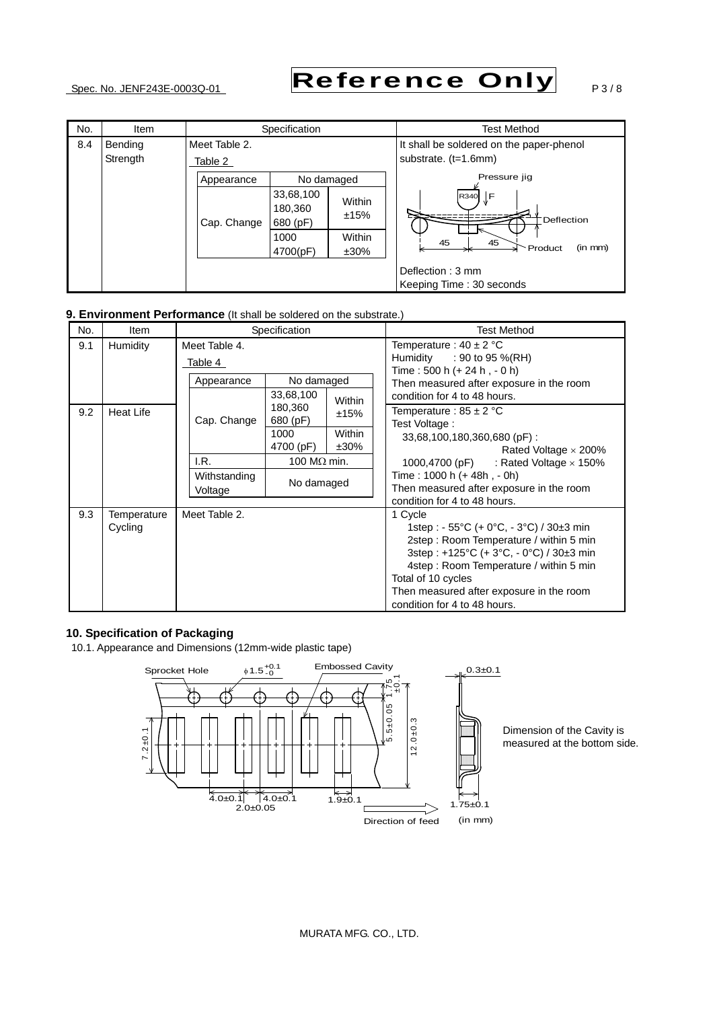# Spec. No. JENF243E-0003Q-01 Reference Only  $P_3/8$

| No. | Item                       | Specification            |                                                      |                                     | <b>Test Method</b>                                               |  |
|-----|----------------------------|--------------------------|------------------------------------------------------|-------------------------------------|------------------------------------------------------------------|--|
| 8.4 | <b>Bending</b><br>Strength | Meet Table 2.<br>Table 2 |                                                      |                                     | It shall be soldered on the paper-phenol<br>substrate. (t=1.6mm) |  |
|     |                            | Appearance               | No damaged                                           |                                     | Pressure jig                                                     |  |
|     |                            | Cap. Change              | 33,68,100<br>180,360<br>680 (pF)<br>1000<br>4700(pF) | Within<br>±15%<br>Within<br>$±30\%$ | ∏F<br>R340<br>Deflection<br>45<br>45<br>(in mm)<br>Product       |  |
|     |                            |                          |                                                      |                                     | Deflection: 3 mm<br>Keeping Time: 30 seconds                     |  |

#### **9. Environment Performance** (It shall be soldered on the substrate.)

| No.             | Item                   |                          | Specification           |                   | <b>Test Method</b>                                                                                                                                                                                                                                                                   |
|-----------------|------------------------|--------------------------|-------------------------|-------------------|--------------------------------------------------------------------------------------------------------------------------------------------------------------------------------------------------------------------------------------------------------------------------------------|
| 9.1<br>Humidity |                        | Meet Table 4.<br>Table 4 |                         |                   | Temperature : $40 \pm 2$ °C<br>Humidity<br>: 90 to 95 %(RH)<br>Time: 500 h (+ 24 h, - 0 h)                                                                                                                                                                                           |
|                 |                        | Appearance               | No damaged<br>33,68,100 | Within            | Then measured after exposure in the room<br>condition for 4 to 48 hours.                                                                                                                                                                                                             |
| 9.2             | <b>Heat Life</b>       | Cap. Change              | 180,360<br>680 (pF)     | ±15%              | Temperature : 85 $\pm$ 2 °C<br>Test Voltage:                                                                                                                                                                                                                                         |
|                 |                        |                          | 1000<br>4700 (pF)       | Within<br>$±30\%$ | 33,68,100,180,360,680 (pF):<br>Rated Voltage $\times$ 200%                                                                                                                                                                                                                           |
|                 |                        | I.R.                     | 100 M $\Omega$ min.     |                   | 1000,4700 (pF) : Rated Voltage $\times$ 150%                                                                                                                                                                                                                                         |
|                 |                        | Withstanding<br>Voltage  | No damaged              |                   | Time: 1000 h (+ 48h, - 0h)<br>Then measured after exposure in the room<br>condition for 4 to 48 hours.                                                                                                                                                                               |
| 9.3             | Temperature<br>Cycling | Meet Table 2.            |                         |                   | 1 Cycle<br>1step : - 55°C (+ 0°C, - 3°C) / 30±3 min<br>2step: Room Temperature / within 5 min<br>3step: +125°C (+ 3°C, - 0°C) / 30±3 min<br>4step: Room Temperature / within 5 min<br>Total of 10 cycles<br>Then measured after exposure in the room<br>condition for 4 to 48 hours. |

### **10. Specification of Packaging**

10.1. Appearance and Dimensions (12mm-wide plastic tape)



Dimension of the Cavity is measured at the bottom side.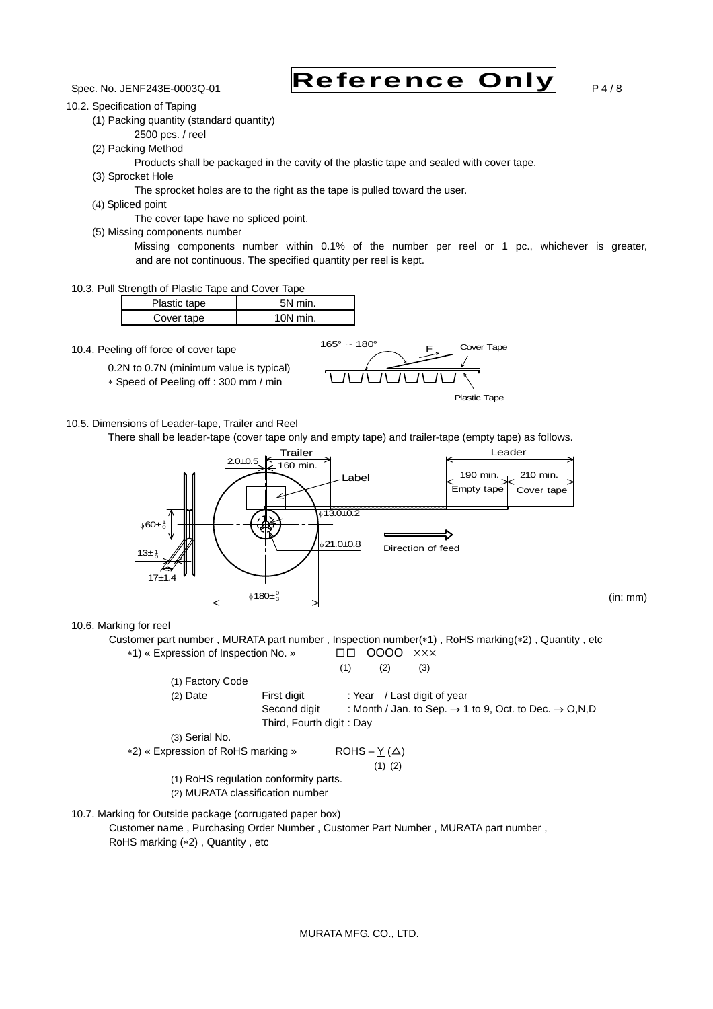# Spec. No. JENF243E-0003Q-01 Reference Only  $P_4/8$

(in: mm)

10.2. Specification of Taping

(1) Packing quantity (standard quantity)

- 2500 pcs. / reel
- (2) Packing Method

Products shall be packaged in the cavity of the plastic tape and sealed with cover tape.

(3) Sprocket Hole

The sprocket holes are to the right as the tape is pulled toward the user.

(4) Spliced point

The cover tape have no spliced point.

- (5) Missing components number
	- Missing components number within 0.1% of the number per reel or 1 pc., whichever is greater, and are not continuous. The specified quantity per reel is kept.
- 10.3. Pull Strength of Plastic Tape and Cover Tape

| Plastic tape | 5N min.    |  |
|--------------|------------|--|
| Cover tape   | $10N$ min. |  |

10.4. Peeling off force of cover tape

0.2N to 0.7N (minimum value is typical)

Speed of Peeling off : 300 mm / min





10.5. Dimensions of Leader-tape, Trailer and Reel

There shall be leader-tape (cover tape only and empty tape) and trailer-tape (empty tape) as follows.



#### 10.6. Marking for reel

Customer part number, MURATA part number, Inspection number(\*1), RoHS marking(\*2), Quantity, etc \*1) « Expression of Inspection No. » □□ 0000  $\times$  × × ×  $(1)$   $(2)$   $(3)$ (1) Factory Code

(2) Date First digit : Year / Last digit of year Second digit : Month / Jan. to Sep.  $\rightarrow$  1 to 9, Oct. to Dec.  $\rightarrow$  O,N,D Third, Fourth digit : Day (3) Serial No.

```
*2) « Expression of RoHS marking » ROHS – Y(\Delta)(1) (2)
```
- (1) RoHS regulation conformity parts.
- (2) MURATA classification number
- 10.7. Marking for Outside package (corrugated paper box) Customer name , Purchasing Order Number , Customer Part Number , MURATA part number , RoHS marking (\*2), Quantity, etc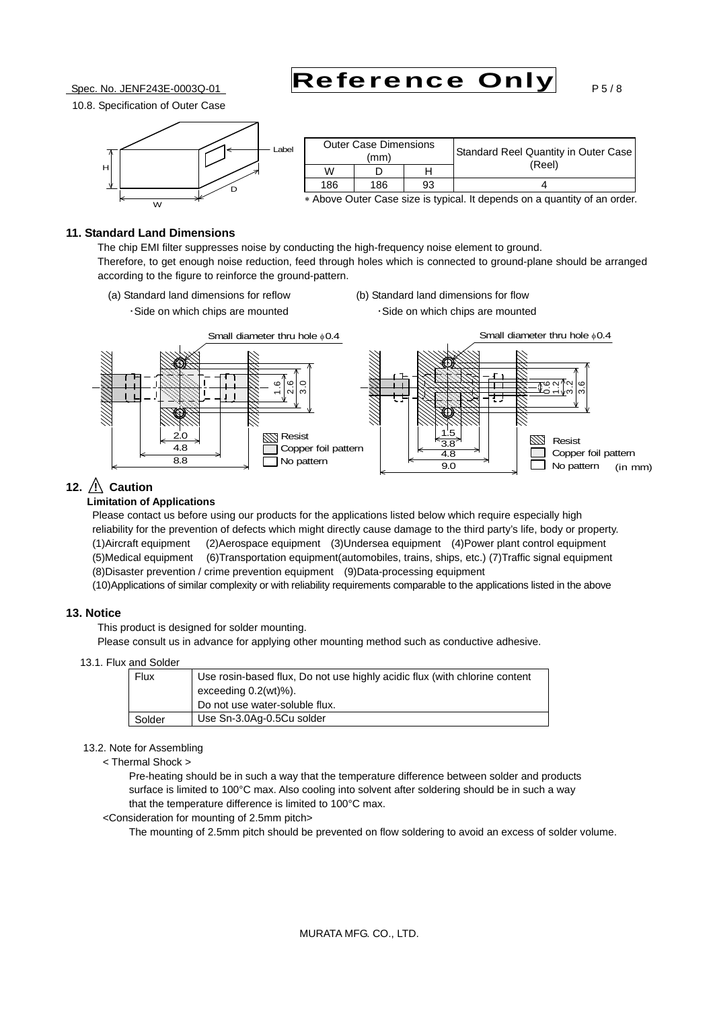Spec. No. JENF243E-0003Q-01 Reference Only  $P_{5/8}$ 

10.8. Specification of Outer Case



|     | <b>Outer Case Dimensions</b><br>(mm) |    | Standard Reel Quantity in Outer Case |
|-----|--------------------------------------|----|--------------------------------------|
| W   |                                      |    | (Reel)                               |
| 186 | 186                                  | 93 |                                      |

Above Outer Case size is typical. It depends on a quantity of an order.

#### **11. Standard Land Dimensions**

 The chip EMI filter suppresses noise by conducting the high-frequency noise element to ground. Therefore, to get enough noise reduction, feed through holes which is connected to ground-plane should be arranged according to the figure to reinforce the ground-pattern.

- (a) Standard land dimensions for reflow (b) Standard land dimensions for flow ・Side on which chips are mounted ・Side on which chips are mounted
- 



### **12.** */* **Caution**

#### **Limitation of Applications**

 Please contact us before using our products for the applications listed below which require especially high reliability for the prevention of defects which might directly cause damage to the third party's life, body or property. (1)Aircraft equipment (2)Aerospace equipment (3)Undersea equipment (4)Power plant control equipment (5)Medical equipment (6)Transportation equipment(automobiles, trains, ships, etc.) (7)Traffic signal equipment (8)Disaster prevention / crime prevention equipment (9)Data-processing equipment

(10)Applications of similar complexity or with reliability requirements comparable to the applications listed in the above

#### **13. Notice**

This product is designed for solder mounting.

Please consult us in advance for applying other mounting method such as conductive adhesive.

13.1. Flux and Solder

| Flux   | Use rosin-based flux, Do not use highly acidic flux (with chlorine content<br>exceeding $0.2(wt)\%$ ). |  |  |  |
|--------|--------------------------------------------------------------------------------------------------------|--|--|--|
|        | Do not use water-soluble flux.                                                                         |  |  |  |
| Solder | Use Sn-3.0Ag-0.5Cu solder                                                                              |  |  |  |

#### 13.2. Note for Assembling

< Thermal Shock >

 Pre-heating should be in such a way that the temperature difference between solder and products surface is limited to 100°C max. Also cooling into solvent after soldering should be in such a way that the temperature difference is limited to 100°C max.

<Consideration for mounting of 2.5mm pitch>

The mounting of 2.5mm pitch should be prevented on flow soldering to avoid an excess of solder volume.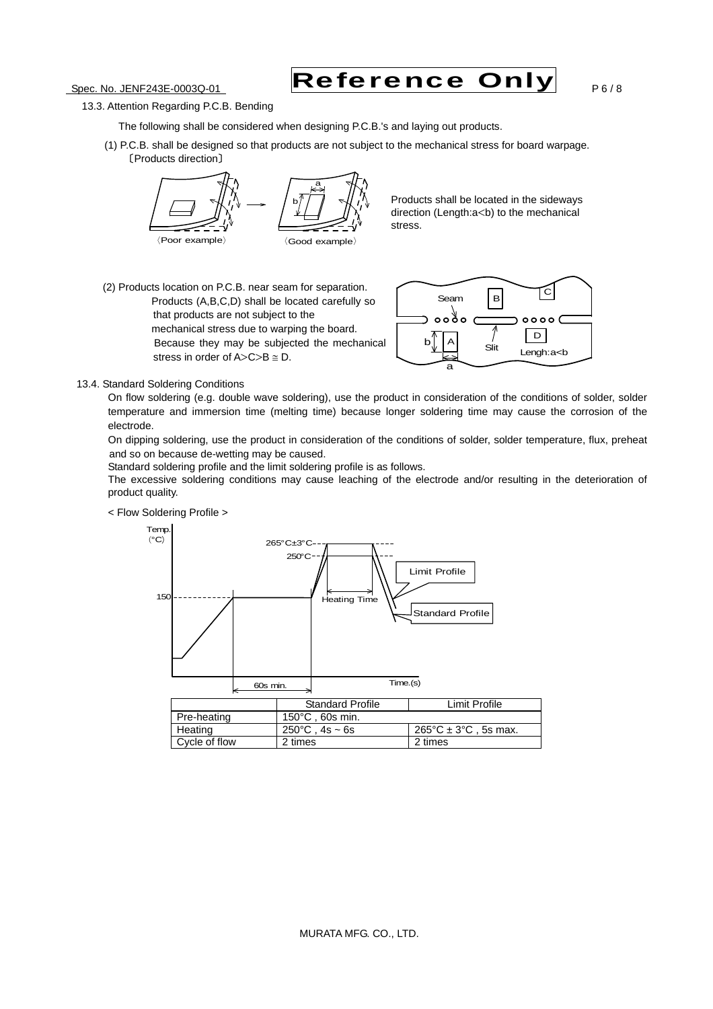Spec. No. JENF243E-0003Q-01 Reference Only  $P6/8$ 

- 13.3. Attention Regarding P.C.B. Bending
	- The following shall be considered when designing P.C.B.'s and laying out products.
	- (1) P.C.B. shall be designed so that products are not subject to the mechanical stress for board warpage. 〔Products direction〕



Products shall be located in the sideways direction (Length:a<br/>b) to the mechanical stress.

(2) Products location on P.C.B. near seam for separation. Products (A,B,C,D) shall be located carefully so that products are not subject to the mechanical stress due to warping the board. Because they may be subjected the mechanical stress in order of  $A > C > B \cong D$ .



#### 13.4. Standard Soldering Conditions

 On flow soldering (e.g. double wave soldering), use the product in consideration of the conditions of solder, solder temperature and immersion time (melting time) because longer soldering time may cause the corrosion of the electrode.

 On dipping soldering, use the product in consideration of the conditions of solder, solder temperature, flux, preheat and so on because de-wetting may be caused.

Standard soldering profile and the limit soldering profile is as follows.

The excessive soldering conditions may cause leaching of the electrode and/or resulting in the deterioration of product quality.



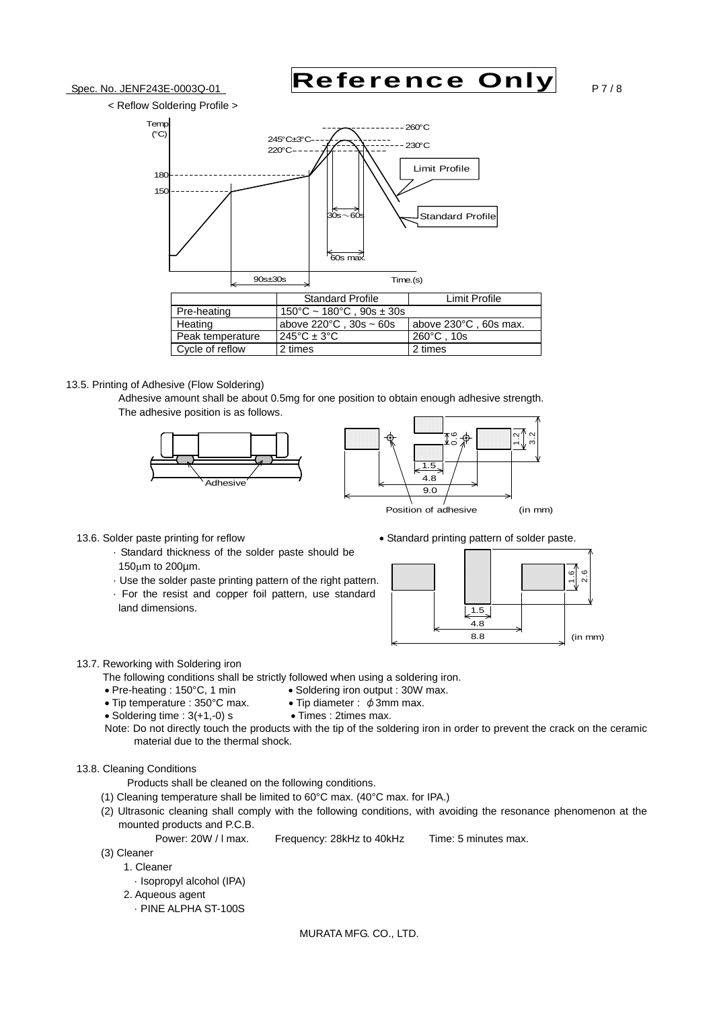



#### 13.5. Printing of Adhesive (Flow Soldering)

 Adhesive amount shall be about 0.5mg for one position to obtain enough adhesive strength. The adhesive position is as follows.





- 13.6. Solder paste printing for reflow standard printing pattern of solder paste.
	- · Standard thickness of the solder paste should be  $150 \mu m$  to  $200 \mu m$ .
	- · Use the solder paste printing pattern of the right pattern.
	- · For the resist and copper foil pattern, use standard land dimensions.



#### 13.7. Reworking with Soldering iron

The following conditions shall be strictly followed when using a soldering iron.<br>• Pre-heating : 150°C. 1 min • Soldering iron output : 30W max.

- $\bullet$  Pre-heating : 150°C, 1 min
- Tip temperature :  $350^{\circ}$ C max. Tip diameter :  $\phi$  3mm max.
- 
- $\bullet$  Soldering time :  $3(+1,-0)$  s  $\bullet$  Times : 2times max.
- Note: Do not directly touch the products with the tip of the soldering iron in order to prevent the crack on the ceramic material due to the thermal shock.

#### 13.8. Cleaning Conditions

Products shall be cleaned on the following conditions.

- (1) Cleaning temperature shall be limited to 60°C max. (40°C max. for IPA.)
- (2) Ultrasonic cleaning shall comply with the following conditions, with avoiding the resonance phenomenon at the mounted products and P.C.B.

Power: 20W / I max. Frequency: 28kHz to 40kHz Time: 5 minutes max.

- (3) Cleaner
	- 1. Cleaner
		- · Isopropyl alcohol (IPA)
	- 2. Aqueous agent
		- · PINE ALPHA ST-100S

MURATA MFG. CO., LTD.